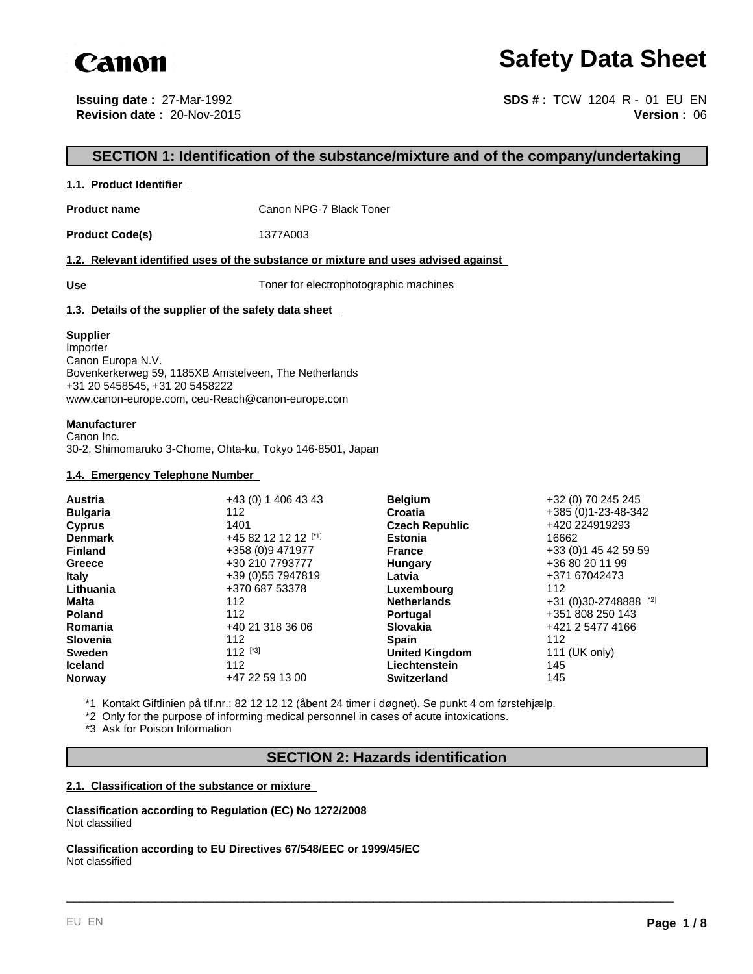

# **Safety Data Sheet**

**Issuing date :** 27-Mar-1992 **Revision date :** 20-Nov-2015

**Version :** 06 **SDS # :** TCW 1204 R - 01 EU EN

# **SECTION 1: Identification of the substance/mixture and of the company/undertaking**

#### **1.1. Product Identifier**

**Product name** Canon NPG-7 Black Toner

**Product Code(s)** 1377A003

#### **1.2. Relevant identified uses of the substance or mixture and uses advised against**

Use Use **Use** Toner for electrophotographic machines

#### **1.3. Details of the supplier of the safety data sheet**

#### **Supplier**

Importer Canon Europa N.V. Bovenkerkerweg 59, 1185XB Amstelveen, The Netherlands +31 20 5458545, +31 20 5458222 www.canon-europe.com, ceu-Reach@canon-europe.com

#### **Manufacturer**

Canon Inc. 30-2, Shimomaruko 3-Chome, Ohta-ku, Tokyo 146-8501, Japan

#### **1.4. Emergency Telephone Number**

| <b>Austria</b>  | +43 (0) 1 406 43 43 | <b>Belgium</b>        | +32 (0) 70 245 245     |
|-----------------|---------------------|-----------------------|------------------------|
| <b>Bulgaria</b> | 112                 | Croatia               | +385 (0)1-23-48-342    |
| <b>Cyprus</b>   | 1401                | <b>Czech Republic</b> | +420 224919293         |
| <b>Denmark</b>  | +45 82 12 12 12 [1] | <b>Estonia</b>        | 16662                  |
| <b>Finland</b>  | +358 (0)9 471977    | <b>France</b>         | +33 (0) 1 45 42 59 59  |
| Greece          | +30 210 7793777     | Hungary               | +36 80 20 11 99        |
| <b>Italy</b>    | +39 (0) 55 7947819  | Latvia                | +371 67042473          |
| Lithuania       | +370 687 53378      | Luxembourg            | 112                    |
| Malta           | 112                 | <b>Netherlands</b>    | +31 (0)30-2748888 [*2] |
| <b>Poland</b>   | 112                 | <b>Portugal</b>       | +351 808 250 143       |
| Romania         | +40 21 318 36 06    | <b>Slovakia</b>       | +421 2 5477 4166       |
| <b>Slovenia</b> | 112                 | <b>Spain</b>          | 112                    |
| <b>Sweden</b>   | $112$ [*3]          | <b>United Kingdom</b> | 111 (UK only)          |
| <b>Iceland</b>  | 112                 | Liechtenstein         | 145                    |
| <b>Norway</b>   | +47 22 59 13 00     | <b>Switzerland</b>    | 145                    |

\*1 Kontakt Giftlinien på tlf.nr.: 82 12 12 12 (åbent 24 timer i døgnet). Se punkt 4 om førstehjælp.

\*2 Only for the purpose of informing medical personnel in cases of acute intoxications.

\*3 Ask for Poison Information

### **SECTION 2: Hazards identification**

\_\_\_\_\_\_\_\_\_\_\_\_\_\_\_\_\_\_\_\_\_\_\_\_\_\_\_\_\_\_\_\_\_\_\_\_\_\_\_\_\_\_\_\_\_\_\_\_\_\_\_\_\_\_\_\_\_\_\_\_\_\_\_\_\_\_\_\_\_\_\_\_\_\_\_\_\_\_\_\_\_\_\_\_\_\_\_\_\_

#### **2.1. Classification of the substance or mixture**

**Classification according to Regulation (EC) No 1272/2008** Not classified

**Classification according to EU Directives 67/548/EEC or 1999/45/EC** Not classified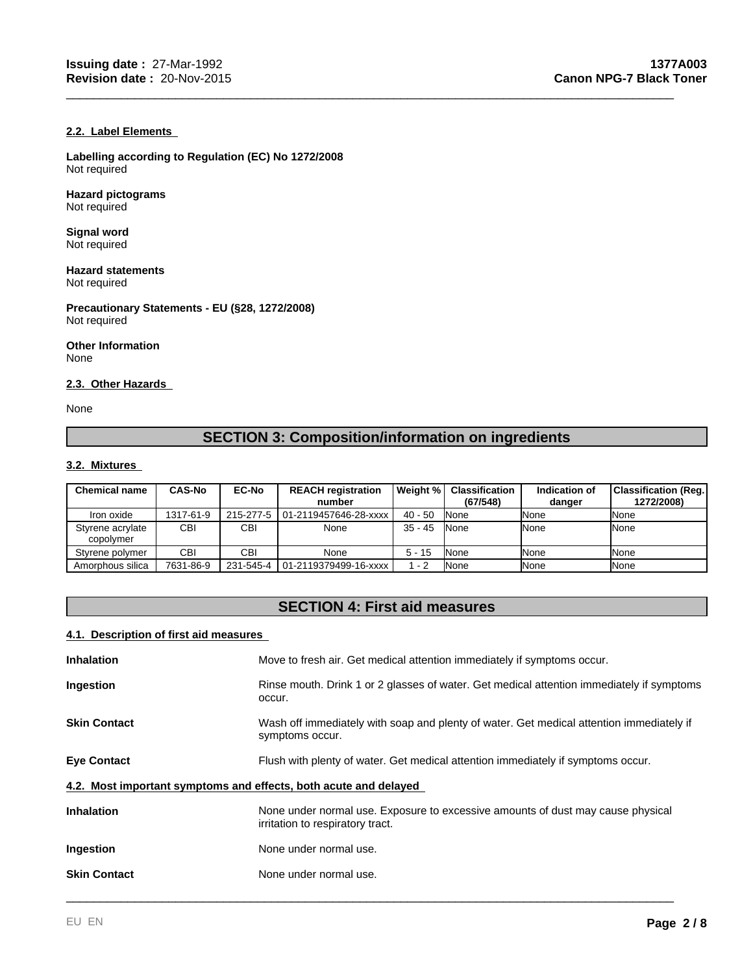### **2.2. Label Elements**

**Labelling according to Regulation (EC) No 1272/2008** Not required

#### **Hazard pictograms** Not required

**Signal word** Not required

#### **Hazard statements** Not required

**Precautionary Statements - EU (§28, 1272/2008)** Not required

**Other Information** None

#### **2.3. Other Hazards**

None

# **SECTION 3: Composition/information on ingredients**

\_\_\_\_\_\_\_\_\_\_\_\_\_\_\_\_\_\_\_\_\_\_\_\_\_\_\_\_\_\_\_\_\_\_\_\_\_\_\_\_\_\_\_\_\_\_\_\_\_\_\_\_\_\_\_\_\_\_\_\_\_\_\_\_\_\_\_\_\_\_\_\_\_\_\_\_\_\_\_\_\_\_\_\_\_\_\_\_\_

#### **3.2. Mixtures**

| <b>Chemical name</b>          | <b>CAS-No</b> | <b>EC-No</b> | <b>REACH registration</b><br>number | Weight %  | <b>Classification</b><br>(67/548) | Indication of<br>danger | <b>Classification (Reg.)</b><br>1272/2008) |
|-------------------------------|---------------|--------------|-------------------------------------|-----------|-----------------------------------|-------------------------|--------------------------------------------|
| Iron oxide                    | 1317-61-9     |              | 215-277-5   01-2119457646-28-xxxx   | $40 - 50$ | <b>None</b>                       | <b>I</b> None           | None                                       |
| Styrene acrylate<br>copolymer | CBI           | CBI          | None                                | $35 - 45$ | <b>None</b>                       | <b>INone</b>            | None                                       |
| Styrene polymer               | CBI           | CBI          | None                                | $5 - 15$  | <b>None</b>                       | <b>I</b> None           | None                                       |
| Amorphous silica              | 7631-86-9     |              | 231-545-4 01-2119379499-16-xxxx     | $1 - 2$   | <b>None</b>                       | <b>INone</b>            | None                                       |

# **SECTION 4: First aid measures**

#### **4.1. Description of first aid measures**

| <b>Inhalation</b>                                                | Move to fresh air. Get medical attention immediately if symptoms occur.                                             |
|------------------------------------------------------------------|---------------------------------------------------------------------------------------------------------------------|
| Ingestion                                                        | Rinse mouth. Drink 1 or 2 glasses of water. Get medical attention immediately if symptoms<br>occur.                 |
| <b>Skin Contact</b>                                              | Wash off immediately with soap and plenty of water. Get medical attention immediately if<br>symptoms occur.         |
| <b>Eye Contact</b>                                               | Flush with plenty of water. Get medical attention immediately if symptoms occur.                                    |
| 4.2. Most important symptoms and effects, both acute and delayed |                                                                                                                     |
| <b>Inhalation</b>                                                | None under normal use. Exposure to excessive amounts of dust may cause physical<br>irritation to respiratory tract. |
| Ingestion                                                        | None under normal use.                                                                                              |
| <b>Skin Contact</b>                                              | None under normal use.                                                                                              |
|                                                                  |                                                                                                                     |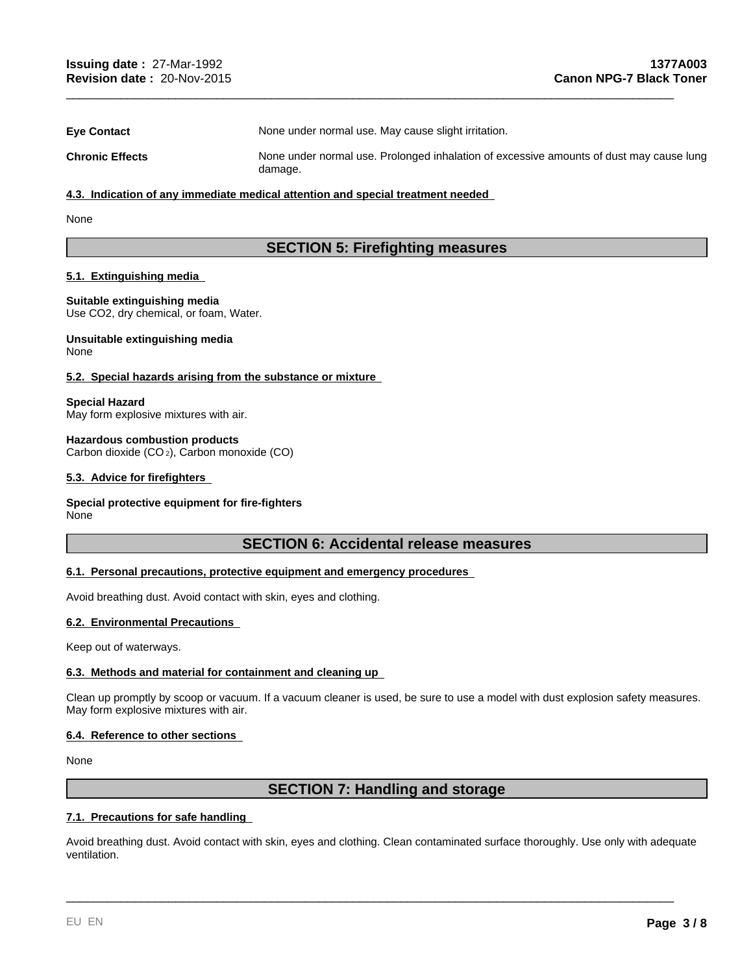| <b>Eye Contact</b>     | None under normal use. May cause slight irritation.                                                |
|------------------------|----------------------------------------------------------------------------------------------------|
| <b>Chronic Effects</b> | None under normal use. Prolonged inhalation of excessive amounts of dust may cause lung<br>damage. |

\_\_\_\_\_\_\_\_\_\_\_\_\_\_\_\_\_\_\_\_\_\_\_\_\_\_\_\_\_\_\_\_\_\_\_\_\_\_\_\_\_\_\_\_\_\_\_\_\_\_\_\_\_\_\_\_\_\_\_\_\_\_\_\_\_\_\_\_\_\_\_\_\_\_\_\_\_\_\_\_\_\_\_\_\_\_\_\_\_

#### **4.3. Indication of any immediate medical attention and special treatment needed**

None

# **SECTION 5: Firefighting measures**

#### **5.1. Extinguishing media**

**Suitable extinguishing media** Use CO2, dry chemical, or foam, Water.

#### **Unsuitable extinguishing media** None

#### **5.2. Special hazards arising from the substance or mixture**

**Special Hazard**

May form explosive mixtures with air.

#### **Hazardous combustion products**

Carbon dioxide (CO 2), Carbon monoxide (CO)

#### **5.3. Advice for firefighters**

#### **Special protective equipment for fire-fighters**

None

# **SECTION 6: Accidental release measures**

#### **6.1. Personal precautions, protective equipment and emergency procedures**

Avoid breathing dust. Avoid contact with skin, eyes and clothing.

#### **6.2. Environmental Precautions**

Keep out of waterways.

#### **6.3. Methods and material for containment and cleaning up**

Clean up promptly by scoop or vacuum. If a vacuum cleaner is used, be sure to use a model with dust explosion safety measures. May form explosive mixtures with air.

#### **6.4. Reference to other sections**

None

# **SECTION 7: Handling and storage**

#### **7.1. Precautions for safe handling**

Avoid breathing dust. Avoid contact with skin, eyes and clothing. Clean contaminated surface thoroughly. Use only with adequate ventilation.

\_\_\_\_\_\_\_\_\_\_\_\_\_\_\_\_\_\_\_\_\_\_\_\_\_\_\_\_\_\_\_\_\_\_\_\_\_\_\_\_\_\_\_\_\_\_\_\_\_\_\_\_\_\_\_\_\_\_\_\_\_\_\_\_\_\_\_\_\_\_\_\_\_\_\_\_\_\_\_\_\_\_\_\_\_\_\_\_\_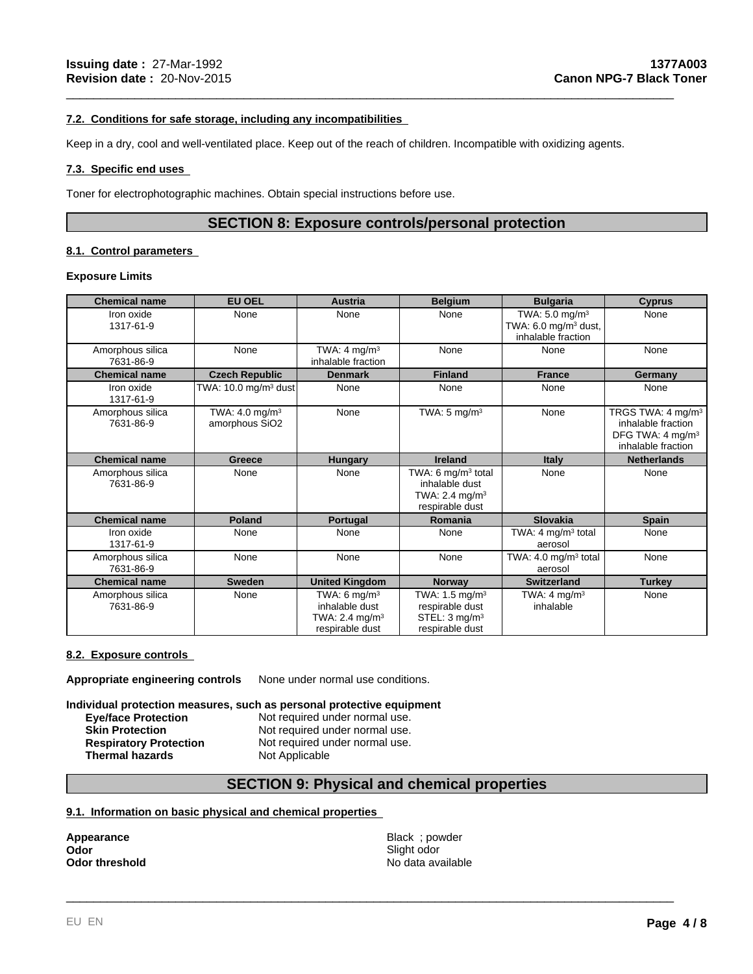#### **7.2. Conditions for safe storage, including any incompatibilities**

Keep in a dry, cool and well-ventilated place. Keep out of the reach of children. Incompatible with oxidizing agents.

#### **7.3. Specific end uses**

Toner for electrophotographic machines. Obtain special instructions before use.

# **SECTION 8: Exposure controls/personal protection**

\_\_\_\_\_\_\_\_\_\_\_\_\_\_\_\_\_\_\_\_\_\_\_\_\_\_\_\_\_\_\_\_\_\_\_\_\_\_\_\_\_\_\_\_\_\_\_\_\_\_\_\_\_\_\_\_\_\_\_\_\_\_\_\_\_\_\_\_\_\_\_\_\_\_\_\_\_\_\_\_\_\_\_\_\_\_\_\_\_

### **8.1. Control parameters**

#### **Exposure Limits**

| <b>Chemical name</b>          | <b>EU OEL</b>                                | <b>Austria</b>                                                                     | <b>Belgium</b>                                                                                    | <b>Bulgaria</b>                                                                     | <b>Cyprus</b>                                                                                             |
|-------------------------------|----------------------------------------------|------------------------------------------------------------------------------------|---------------------------------------------------------------------------------------------------|-------------------------------------------------------------------------------------|-----------------------------------------------------------------------------------------------------------|
| Iron oxide<br>1317-61-9       | None                                         | None                                                                               | None                                                                                              | TWA: 5.0 mg/m <sup>3</sup><br>TWA: $6.0 \text{ mg/m}^3$ dust,<br>inhalable fraction | None                                                                                                      |
| Amorphous silica<br>7631-86-9 | None                                         | TWA: $4 \text{ mg/m}^3$<br>inhalable fraction                                      | None                                                                                              | None                                                                                | None                                                                                                      |
| <b>Chemical name</b>          | <b>Czech Republic</b>                        | <b>Denmark</b>                                                                     | <b>Finland</b>                                                                                    | <b>France</b>                                                                       | Germany                                                                                                   |
| Iron oxide<br>1317-61-9       | TWA: $10.0$ mg/m <sup>3</sup> dust           | None                                                                               | None                                                                                              | None                                                                                | None                                                                                                      |
| Amorphous silica<br>7631-86-9 | TWA: 4.0 mg/m <sup>3</sup><br>amorphous SiO2 | None                                                                               | TWA: $5 \text{ mg/m}^3$                                                                           | None                                                                                | TRGS TWA: 4 mg/m <sup>3</sup><br>inhalable fraction<br>DFG TWA: 4 mg/m <sup>3</sup><br>inhalable fraction |
| <b>Chemical name</b>          | Greece                                       | <b>Hungary</b>                                                                     | <b>Ireland</b>                                                                                    | <b>Italy</b>                                                                        | <b>Netherlands</b>                                                                                        |
| Amorphous silica<br>7631-86-9 | None                                         | None                                                                               | TWA: 6 mg/m <sup>3</sup> total<br>inhalable dust<br>TWA: 2.4 mg/m <sup>3</sup><br>respirable dust | None                                                                                | None                                                                                                      |
| <b>Chemical name</b>          | <b>Poland</b>                                | Portugal                                                                           | Romania                                                                                           | Slovakia                                                                            | <b>Spain</b>                                                                                              |
| Iron oxide<br>1317-61-9       | None                                         | None                                                                               | None                                                                                              | TWA: 4 $mg/m3$ total<br>aerosol                                                     | None                                                                                                      |
| Amorphous silica<br>7631-86-9 | None                                         | None                                                                               | None                                                                                              | TWA: 4.0 mg/m <sup>3</sup> total<br>aerosol                                         | None                                                                                                      |
| <b>Chemical name</b>          | <b>Sweden</b>                                | <b>United Kingdom</b>                                                              | <b>Norway</b>                                                                                     | <b>Switzerland</b>                                                                  | Turkey                                                                                                    |
| Amorphous silica<br>7631-86-9 | None                                         | TWA: 6 mg/m <sup>3</sup><br>inhalable dust<br>TWA: 2.4 mg/m $3$<br>respirable dust | TWA: 1.5 mg/m <sup>3</sup><br>respirable dust<br>STEL: $3 \text{ mg/m}^3$<br>respirable dust      | TWA: $4 \text{ mg/m}^3$<br>inhalable                                                | None                                                                                                      |

#### **8.2. Exposure controls**

**Appropriate engineering controls** None under normal use conditions.

**Individual protection measures, such as personal protective equipment**

| <b>Eye/face Protection</b>    | Not required under normal use. |
|-------------------------------|--------------------------------|
| <b>Skin Protection</b>        | Not required under normal use. |
| <b>Respiratory Protection</b> | Not required under normal use. |
| Thermal hazards               | Not Applicable                 |

# **SECTION 9: Physical and chemical properties**

### **9.1. Information on basic physical and chemical properties**

| <b>Appearance</b>     |  |  |
|-----------------------|--|--|
| Odor                  |  |  |
| <b>Odor threshold</b> |  |  |

**Appearance** and the settlement of the settlement of the Black ; powder and the settlement of the settlement of the settlement of the settlement of the settlement of the settlement of the settlement of the settlement of th **Odor** Slight odor **Slight odor** Slight odor No data available

\_\_\_\_\_\_\_\_\_\_\_\_\_\_\_\_\_\_\_\_\_\_\_\_\_\_\_\_\_\_\_\_\_\_\_\_\_\_\_\_\_\_\_\_\_\_\_\_\_\_\_\_\_\_\_\_\_\_\_\_\_\_\_\_\_\_\_\_\_\_\_\_\_\_\_\_\_\_\_\_\_\_\_\_\_\_\_\_\_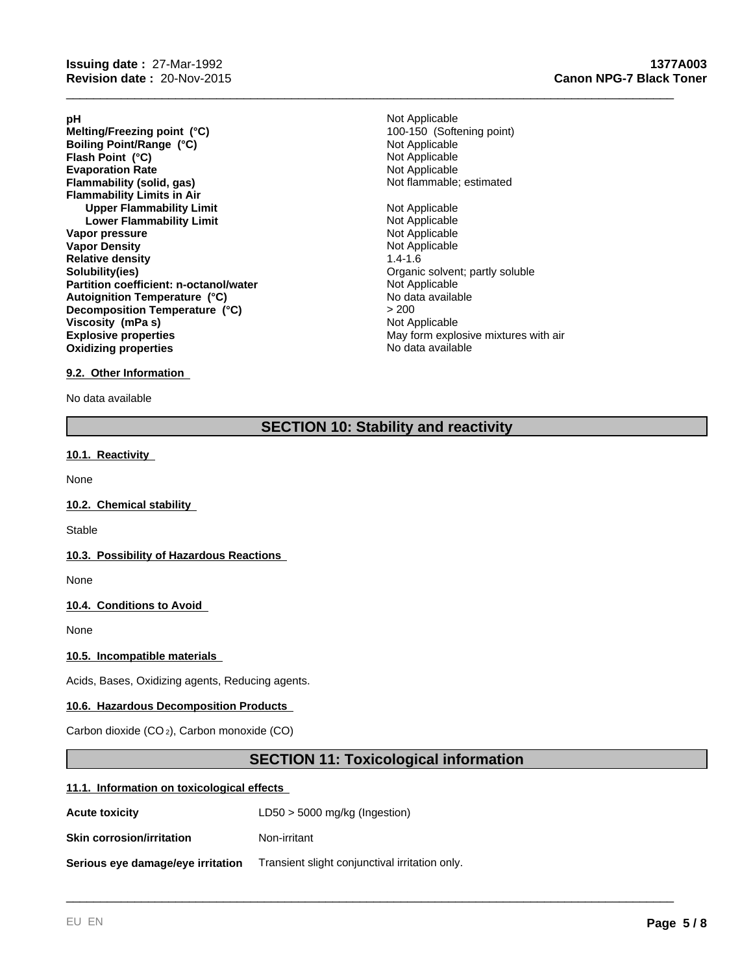- **Evaporation Rate**<br> **Example:** Not Applicable<br> **Elammability (solid, gas)**<br> **Example:** Not flammable; estimated **Flammability (solid, gas) Flammability Limits in Air Upper Flammability Limit**<br> **Lower Flammability Limit**<br> **Lower Flammability Limit Lower Flammability Limit Vapor pressure**<br> **Vapor Density**<br> **Vapor Density**<br> **Vapor Density**<br> **Not Applicable Vapor Density Relative density 1.4-1.6**<br> **Solubility(ies)** 1.4-1.6<br> **Solubility(ies) Partition coefficient: n-octanol/water Explosive properties**<br> **Explosive properties**<br> **Oxidizing properties**<br>
May form explosive mixtures with air<br>
No data available **Oxidizing properties Flash Point (°C) Melting/Freezing point (°C) Autoignition Temperature (°C) Decomposition Temperature (°C)** > 200 **Boiling Point/Range (°C) Viscosity (mPa s)**
- **pH** Not Applicable Organic solvent; partly soluble<br>Not Applicable Not Applicable<br>Not Applicable 100-150 (Softening point)

\_\_\_\_\_\_\_\_\_\_\_\_\_\_\_\_\_\_\_\_\_\_\_\_\_\_\_\_\_\_\_\_\_\_\_\_\_\_\_\_\_\_\_\_\_\_\_\_\_\_\_\_\_\_\_\_\_\_\_\_\_\_\_\_\_\_\_\_\_\_\_\_\_\_\_\_\_\_\_\_\_\_\_\_\_\_\_\_\_

Not Applicable No data available

#### **9.2. Other Information**

No data available

# **SECTION 10: Stability and reactivity**

#### **10.1. Reactivity**

None

#### **10.2. Chemical stability**

**Stable** 

#### **10.3. Possibility of Hazardous Reactions**

None

### **10.4. Conditions to Avoid**

None

#### **10.5. Incompatible materials**

Acids, Bases, Oxidizing agents, Reducing agents.

#### **10.6. Hazardous Decomposition Products**

Carbon dioxide (CO 2), Carbon monoxide (CO)

# **SECTION 11: Toxicological information**

\_\_\_\_\_\_\_\_\_\_\_\_\_\_\_\_\_\_\_\_\_\_\_\_\_\_\_\_\_\_\_\_\_\_\_\_\_\_\_\_\_\_\_\_\_\_\_\_\_\_\_\_\_\_\_\_\_\_\_\_\_\_\_\_\_\_\_\_\_\_\_\_\_\_\_\_\_\_\_\_\_\_\_\_\_\_\_\_\_

#### **11.1. Information on toxicological effects**

| <b>Acute toxicity</b>             | $LD50 > 5000$ mg/kg (Ingestion)                |
|-----------------------------------|------------------------------------------------|
| <b>Skin corrosion/irritation</b>  | Non-irritant                                   |
| Serious eye damage/eye irritation | Transient slight conjunctival irritation only. |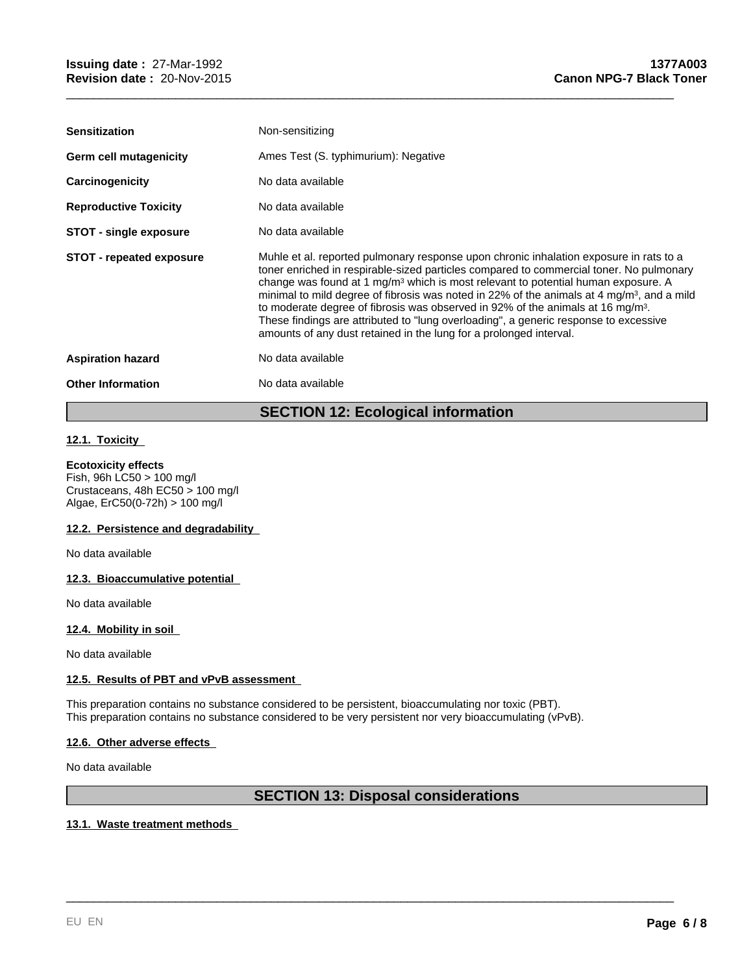| <b>Sensitization</b>            | Non-sensitizing                                                                                                                                                                                                                                                                                                                                                                                                                                                                                                                                                                                                                                 |
|---------------------------------|-------------------------------------------------------------------------------------------------------------------------------------------------------------------------------------------------------------------------------------------------------------------------------------------------------------------------------------------------------------------------------------------------------------------------------------------------------------------------------------------------------------------------------------------------------------------------------------------------------------------------------------------------|
| Germ cell mutagenicity          | Ames Test (S. typhimurium): Negative                                                                                                                                                                                                                                                                                                                                                                                                                                                                                                                                                                                                            |
| Carcinogenicity                 | No data available                                                                                                                                                                                                                                                                                                                                                                                                                                                                                                                                                                                                                               |
| <b>Reproductive Toxicity</b>    | No data available                                                                                                                                                                                                                                                                                                                                                                                                                                                                                                                                                                                                                               |
| <b>STOT - single exposure</b>   | No data available                                                                                                                                                                                                                                                                                                                                                                                                                                                                                                                                                                                                                               |
| <b>STOT - repeated exposure</b> | Muhle et al. reported pulmonary response upon chronic inhalation exposure in rats to a<br>toner enriched in respirable-sized particles compared to commercial toner. No pulmonary<br>change was found at 1 $mq/m3$ which is most relevant to potential human exposure. A<br>minimal to mild degree of fibrosis was noted in 22% of the animals at 4 mg/m <sup>3</sup> , and a mild<br>to moderate degree of fibrosis was observed in 92% of the animals at 16 mg/m <sup>3</sup> .<br>These findings are attributed to "lung overloading", a generic response to excessive<br>amounts of any dust retained in the lung for a prolonged interval. |
| <b>Aspiration hazard</b>        | No data available                                                                                                                                                                                                                                                                                                                                                                                                                                                                                                                                                                                                                               |
| <b>Other Information</b>        | No data available                                                                                                                                                                                                                                                                                                                                                                                                                                                                                                                                                                                                                               |
|                                 |                                                                                                                                                                                                                                                                                                                                                                                                                                                                                                                                                                                                                                                 |

\_\_\_\_\_\_\_\_\_\_\_\_\_\_\_\_\_\_\_\_\_\_\_\_\_\_\_\_\_\_\_\_\_\_\_\_\_\_\_\_\_\_\_\_\_\_\_\_\_\_\_\_\_\_\_\_\_\_\_\_\_\_\_\_\_\_\_\_\_\_\_\_\_\_\_\_\_\_\_\_\_\_\_\_\_\_\_\_\_

# **SECTION 12: Ecological information**

### **12.1. Toxicity**

#### **Ecotoxicity effects**

Fish, 96h LC50 > 100 mg/l Crustaceans, 48h EC50 > 100 mg/l Algae, ErC50(0-72h) > 100 mg/l

#### **12.2. Persistence and degradability**

No data available

#### **12.3. Bioaccumulative potential**

No data available

#### **12.4. Mobility in soil**

No data available

#### **12.5. Results of PBT and vPvB assessment**

This preparation contains no substance considered to be persistent, bioaccumulating nor toxic (PBT). This preparation contains no substance considered to be very persistent nor very bioaccumulating (vPvB).

#### **12.6. Other adverse effects**

No data available

# **SECTION 13: Disposal considerations**

\_\_\_\_\_\_\_\_\_\_\_\_\_\_\_\_\_\_\_\_\_\_\_\_\_\_\_\_\_\_\_\_\_\_\_\_\_\_\_\_\_\_\_\_\_\_\_\_\_\_\_\_\_\_\_\_\_\_\_\_\_\_\_\_\_\_\_\_\_\_\_\_\_\_\_\_\_\_\_\_\_\_\_\_\_\_\_\_\_

#### **13.1. Waste treatment methods**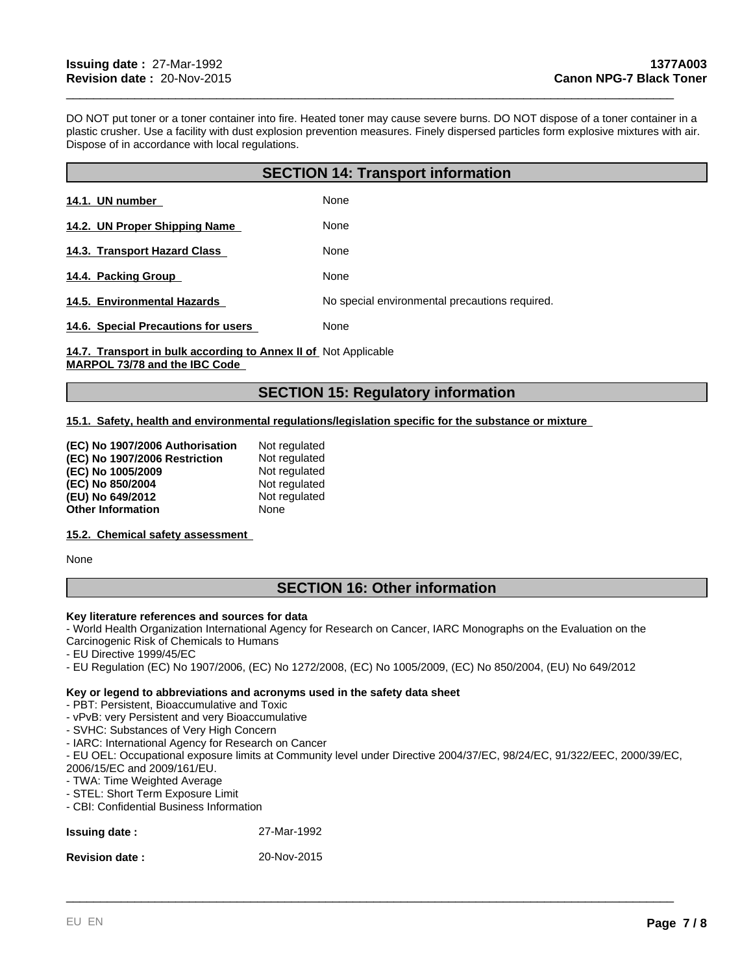DO NOT put toner or a toner container into fire. Heated toner may cause severe burns. DO NOT dispose of a toner container in a plastic crusher. Use a facility with dust explosion prevention measures. Finely dispersed particles form explosive mixtures with air. Dispose of in accordance with local regulations.

\_\_\_\_\_\_\_\_\_\_\_\_\_\_\_\_\_\_\_\_\_\_\_\_\_\_\_\_\_\_\_\_\_\_\_\_\_\_\_\_\_\_\_\_\_\_\_\_\_\_\_\_\_\_\_\_\_\_\_\_\_\_\_\_\_\_\_\_\_\_\_\_\_\_\_\_\_\_\_\_\_\_\_\_\_\_\_\_\_

| <b>SECTION 14: Transport information</b> |                                                |  |
|------------------------------------------|------------------------------------------------|--|
| 14.1. UN number                          | None                                           |  |
| 14.2. UN Proper Shipping Name            | None                                           |  |
| 14.3. Transport Hazard Class             | None                                           |  |
| 14.4. Packing Group                      | None                                           |  |
| 14.5. Environmental Hazards              | No special environmental precautions required. |  |
| 14.6. Special Precautions for users      | None                                           |  |

14.7. Transport in bulk according to Annex II of Not Applicable **MARPOL 73/78 and the IBC Code** 

# **SECTION 15: Regulatory information**

#### **15.1. Safety, health and environmental regulations/legislation specific for the substance or mixture**

| (EC) No 1907/2006 Authorisation | Not regulated |
|---------------------------------|---------------|
| (EC) No 1907/2006 Restriction   | Not regulated |
| (EC) No 1005/2009               | Not regulated |
| (EC) No 850/2004                | Not regulated |
| (EU) No 649/2012                | Not regulated |
| <b>Other Information</b>        | None          |

#### **15.2. Chemical safety assessment**

None

# **SECTION 16: Other information**

#### **Key literature references and sources for data**

- World Health Organization International Agency for Research on Cancer, IARC Monographs on the Evaluation on the Carcinogenic Risk of Chemicals to Humans

- EU Directive 1999/45/EC
- EU Regulation (EC) No 1907/2006, (EC) No 1272/2008, (EC) No 1005/2009, (EC) No 850/2004, (EU) No 649/2012

#### **Key or legend to abbreviations and acronyms used in the safety data sheet**

#### - PBT: Persistent, Bioaccumulative and Toxic

- vPvB: very Persistent and very Bioaccumulative

- SVHC: Substances of Very High Concern

- IARC: International Agency for Research on Cancer

- EU OEL: Occupational exposure limits at Community level under Directive 2004/37/EC, 98/24/EC, 91/322/EEC, 2000/39/EC, 2006/15/EC and 2009/161/EU.

\_\_\_\_\_\_\_\_\_\_\_\_\_\_\_\_\_\_\_\_\_\_\_\_\_\_\_\_\_\_\_\_\_\_\_\_\_\_\_\_\_\_\_\_\_\_\_\_\_\_\_\_\_\_\_\_\_\_\_\_\_\_\_\_\_\_\_\_\_\_\_\_\_\_\_\_\_\_\_\_\_\_\_\_\_\_\_\_\_

- TWA: Time Weighted Average

- STEL: Short Term Exposure Limit

- CBI: Confidential Business Information

| <b>Issuing date:</b> | 27-Mar-1992 |
|----------------------|-------------|
|----------------------|-------------|

**Revision date :** 20-Nov-2015